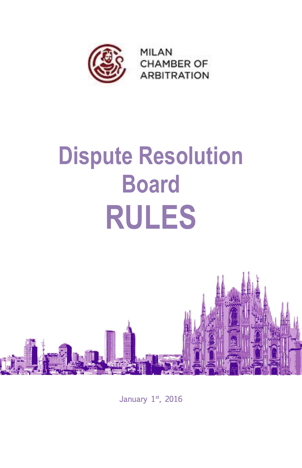

# **Dispute Resolution Board RULES**



January 1st, 2016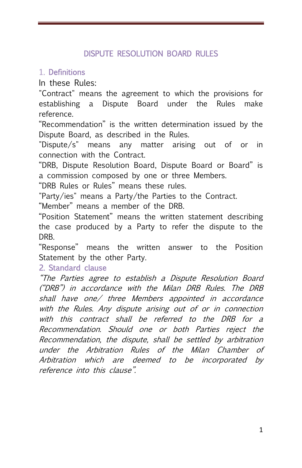### DISPUTE RESOLUTION BOARD RULES

#### 1. Definitions

In these Rules:

"Contract" means the agreement to which the provisions for establishing a Dispute Board under the Rules make reference.

"Recommendation" is the written determination issued by the Dispute Board, as described in the Rules.

"Dispute/s" means any matter arising out of or in connection with the Contract.

"DRB, Dispute Resolution Board, Dispute Board or Board" is a commission composed by one or three Members.

"DRB Rules or Rules" means these rules.

"Party/ies" means a Party/the Parties to the Contract.

"Member" means a member of the DRB.

"Position Statement" means the written statement describing the case produced by a Party to refer the dispute to the **DRB.** 

"Response" means the written answer to the Position Statement by the other Party.

#### 2. Standard clause

"The Parties agree to establish a Dispute Resolution Board ("DRB") in accordance with the Milan DRB Rules. The DRB shall have one/ three Members appointed in accordance with the Rules. Any dispute arising out of or in connection with this contract shall be referred to the DRB for a Recommendation. Should one or both Parties reject the Recommendation, the dispute, shall be settled by arbitration under the Arbitration Rules of the Milan Chamber of Arbitration which are deemed to be incorporated by reference into this clause".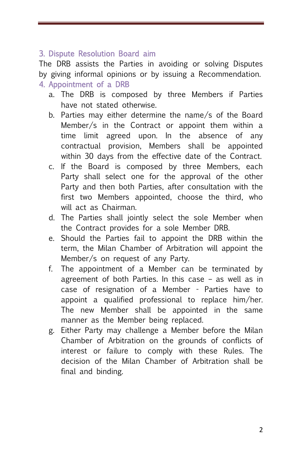## 3. Dispute Resolution Board aim

The DRB assists the Parties in avoiding or solving Disputes by giving informal opinions or by issuing a Recommendation. 4. Appointment of a DRB

- a. The DRB is composed by three Members if Parties have not stated otherwise.
- b. Parties may either determine the name/s of the Board Member/s in the Contract or appoint them within a time limit agreed upon. In the absence of any contractual provision, Members shall be appointed within 30 days from the effective date of the Contract.
- c. If the Board is composed by three Members, each Party shall select one for the approval of the other Party and then both Parties, after consultation with the first two Members appointed, choose the third, who will act as Chairman.
- d. The Parties shall jointly select the sole Member when the Contract provides for a sole Member DRB.
- e. Should the Parties fail to appoint the DRB within the term, the Milan Chamber of Arbitration will appoint the Member/s on request of any Party.
- f. The appointment of a Member can be terminated by agreement of both Parties. In this case – as well as in case of resignation of a Member - Parties have to appoint a qualified professional to replace him/her. The new Member shall be appointed in the same manner as the Member being replaced.
- g. Either Party may challenge a Member before the Milan Chamber of Arbitration on the grounds of conflicts of interest or failure to comply with these Rules. The decision of the Milan Chamber of Arbitration shall be final and binding.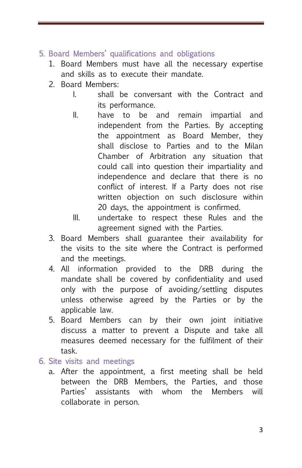## 5. Board Members' qualifications and obligations

- 1. Board Members must have all the necessary expertise and skills as to execute their mandate.
- 2. Board Members:
	- I. shall be conversant with the Contract and its performance.
	- II. have to be and remain impartial and independent from the Parties. By accepting the appointment as Board Member, they shall disclose to Parties and to the Milan Chamber of Arbitration any situation that could call into question their impartiality and independence and declare that there is no conflict of interest. If a Party does not rise written objection on such disclosure within 20 days, the appointment is confirmed.
	- III. undertake to respect these Rules and the agreement signed with the Parties.
- 3. Board Members shall guarantee their availability for the visits to the site where the Contract is performed and the meetings.
- 4. All information provided to the DRB during the mandate shall be covered by confidentiality and used only with the purpose of avoiding/settling disputes unless otherwise agreed by the Parties or by the applicable law.
- 5. Board Members can by their own joint initiative discuss a matter to prevent a Dispute and take all measures deemed necessary for the fulfilment of their task.

#### 6. Site visits and meetings

a. After the appointment, a first meeting shall be held between the DRB Members, the Parties, and those Parties' assistants with whom the Members will collaborate in person.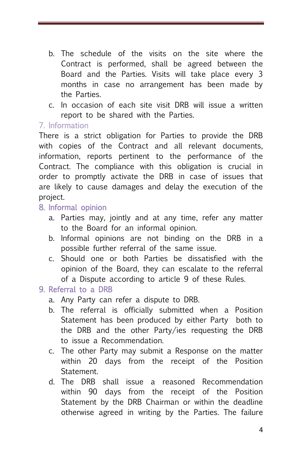- b. The schedule of the visits on the site where the Contract is performed, shall be agreed between the Board and the Parties. Visits will take place every 3 months in case no arrangement has been made by the Parties.
- c. In occasion of each site visit DRB will issue a written report to be shared with the Parties.

#### 7. Information

There is a strict obligation for Parties to provide the DRB with copies of the Contract and all relevant documents, information, reports pertinent to the performance of the Contract. The compliance with this obligation is crucial in order to promptly activate the DRB in case of issues that are likely to cause damages and delay the execution of the project.

#### 8. Informal opinion

- a. Parties may, jointly and at any time, refer any matter to the Board for an informal opinion.
- b. Informal opinions are not binding on the DRB in a possible further referral of the same issue.
- c. Should one or both Parties be dissatisfied with the opinion of the Board, they can escalate to the referral of a Dispute according to article 9 of these Rules.

#### 9. Referral to a DRB

- a. Any Party can refer a dispute to DRB.
- b. The referral is officially submitted when a Position Statement has been produced by either Party both to the DRB and the other Party/ies requesting the DRB to issue a Recommendation.
- c. The other Party may submit a Response on the matter within 20 days from the receipt of the Position **Statement.**
- d. The DRB shall issue a reasoned Recommendation within 90 days from the receipt of the Position Statement by the DRB Chairman or within the deadline otherwise agreed in writing by the Parties. The failure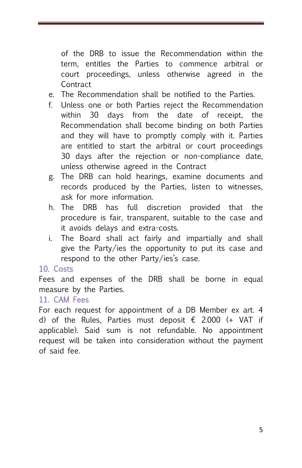of the DRB to issue the Recommendation within the term, entitles the Parties to commence arbitral or court proceedings, unless otherwise agreed in the **Contract** 

- e. The Recommendation shall be notified to the Parties.
- f. Unless one or both Parties reject the Recommendation within 30 days from the date of receipt, the Recommendation shall become binding on both Parties and they will have to promptly comply with it. Parties are entitled to start the arbitral or court proceedings 30 days after the rejection or non-compliance date, unless otherwise agreed in the Contract
- g. The DRB can hold hearings, examine documents and records produced by the Parties, listen to witnesses, ask for more information.
- h. The DRB has full discretion provided that the procedure is fair, transparent, suitable to the case and it avoids delays and extra-costs.
- i. The Board shall act fairly and impartially and shall give the Party/ies the opportunity to put its case and respond to the other Party/ies's case.

## 10. Costs

Fees and expenses of the DRB shall be borne in equal measure by the Parties.

#### 11. CAM Fees

For each request for appointment of a DB Member ex art. 4 d) of the Rules, Parties must deposit  $\epsilon$  2.000 (+ VAT if applicable). Said sum is not refundable. No appointment request will be taken into consideration without the payment of said fee.